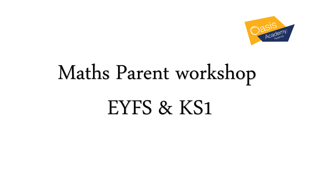

# Maths Parent workshop EYFS & KS1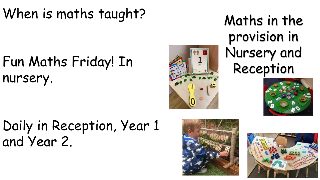# When is maths taught?

# Fun Maths Friday! In nursery.



Maths in the provision in Nursery and Reception



# Daily in Reception, Year 1 and Year 2.



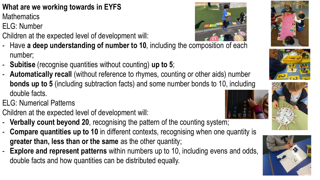## **What are we working towards in EYFS**

**Mathematics** 

- ELG: Number
- Children at the expected level of development will:
- Have **a deep understanding of number to 10**, including the composition of each number;
- **Subitise** (recognise quantities without counting) **up to 5**;
- **Automatically recall** (without reference to rhymes, counting or other aids) number **bonds up to 5** (including subtraction facts) and some number bonds to 10, including double facts.
- ELG: Numerical Patterns
- Children at the expected level of development will:
- **Verbally count beyond 20**, recognising the pattern of the counting system;
- **Compare quantities up to 10** in different contexts, recognising when one quantity is **greater than, less than or the same** as the other quantity; **Explore and represent patterns** within numbers up to 10, including evens and odds, double facts and how quantities can be distributed equally.











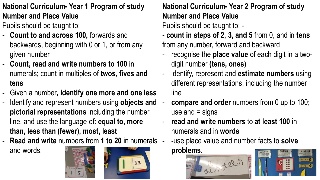**National Curriculum- Year 1 Program of study Number and Place Value**

Pupils should be taught to:

- **Count to and across 100,** forwards and backwards, beginning with 0 or 1, or from any given number
- **Count, read and write numbers to 100** in numerals; count in multiples of **twos, fives and tens**
- Given a number**, identify one more and one less**
- Identify and represent numbers using objects and **pictorial representations** including the number line, and use the language of: **equal to, more than, less than (fewer), most, least**

- **Read and write** numbers from **1 to 20** in numerals

and words.





**National Curriculum- Year 2 Program of study Number and Place Value**

- **count in steps of 2, 3, and 5** from 0, and in **tens** from any number, forward and backward
- recognise the **place value** of each digit in a twodigit number **(tens, ones)**
- identify, represent and **estimate numbers** using different representations, including the number line
- **compare and order** numbers from 0 up to 100; use and  $=$  signs
- **read and write numbers** to **at least 100** in numerals and in **words**
- -use place value and number facts to **solve problems.**



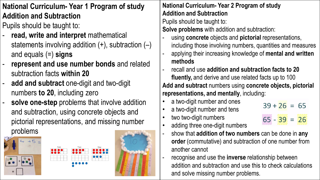### **National Curriculum- Year 1 Program of study Addition and Subtraction**

Pupils should be taught to:

- read, write and interpret mathematical statements involving addition  $(+)$ , subtraction  $(-)$ and equals (=) **signs**
- **represent and use number bonds** and related subtraction facts **within 20**
- add and subtract one-digit and two-digit numbers **to 20**, including zero
- solve one-step problems that involve addition and subtraction, using concrete objects and pictorial representations, and missing number problems



| First | Then                                                                                                  | Now |
|-------|-------------------------------------------------------------------------------------------------------|-----|
|       |                                                                                                       | Ó   |
|       |                                                                                                       |     |
|       | $\begin{array}{cccccccccccccc} \bullet & \bullet & \bullet & \bullet & \bullet & \bullet \end{array}$ |     |
|       |                                                                                                       |     |



#### **National Curriculum- Year 2 Program of study Addition and Subtraction**

Pupils should be taught to:

**Solve problems** with addition and subtraction:

- using **concrete** objects and **pictorial** representations, including those involving numbers, quantities and measures
- applying their increasing knowledge of **mental and written methods**
- recall and use **addition and subtraction facts to 20 fluently,** and derive and use related facts up to 100 **Add and subtract** numbers using **concrete objects, pictorial representations, and mentally**, including:
- a two-digit number and ones
- a two-digit number and tens
- two two-digit numbers
- $39 + 26 = 65$  $65 - 39 = 26$
- adding three one-digit numbers
- show that **addition of two numbers** can be done in **any order** (commutative) and subtraction of one number from another cannot
- recognise and use the **inverse** relationship between addition and subtraction and use this to check calculations and solve missing number problems.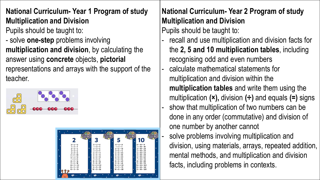#### **National Curriculum- Year 1 Program of study Multiplication and Division**

Pupils should be taught to:

- solve **one-step** problems involving **multiplication and division**, by calculating the answer using **concrete** objects, **pictorial**  representations and arrays with the support of the teacher.





#### **National Curriculum- Year 2 Program of study Multiplication and Division**

- recall and use multiplication and division facts for the **2, 5 and 10 multiplication tables**, including recognising odd and even numbers
- calculate mathematical statements for multiplication and division within the **multiplication tables** and write them using the multiplication **(×),** division **(÷)** and equals **(=)** signs
- show that multiplication of two numbers can be done in any order (commutative) and division of one number by another cannot
- solve problems involving multiplication and division, using materials, arrays, repeated addition, mental methods, and multiplication and division facts, including problems in contexts.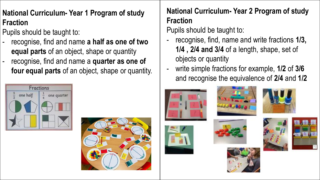### **National Curriculum- Year 1 Program of study Fraction**

Pupils should be taught to:

- recognise, find and name **a half as one of two equal parts** of an object, shape or quantity
- recognise, find and name a **quarter as one of four equal parts** of an object, shape or quantity.





#### **National Curriculum- Year 2 Program of study Fraction**

- recognise, find, name and write fractions 1/3, **1/4 , 2/4 and 3/4** of a length, shape, set of objects or quantity
- write simple fractions for example, **1/2** of **3/6** and recognise the equivalence of **2/4** and **1/2**











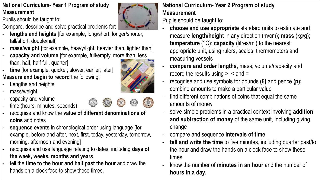#### **National Curriculum- Year 1 Program of study Measurement**

Pupils should be taught to:

Compare, describe and solve practical problems for:

- **lengths and heights** [for example, long/short, longer/shorter, tall/short, double/half]
- **mass/weight** [for example, heavy/light, heavier than, lighter than]
- capacity and volume [for example, full/empty, more than, less than, half, half full, quarter]
- time [for example, quicker, slower, earlier, later] **Measure and begin to record** the following:
- Lengths and heights
- mass/weight
- capacity and volume
- time (hours, minutes, seconds)
- recognise and know the **value of different denominations of coins** and notes
- sequence events in chronological order using language [for example, before and after, next, first, today, yesterday, tomorrow, morning, afternoon and evening]
- recognise and use language relating to dates, including **days of the week, weeks, months and years**
- tell the **time to the hour and half past the hour** and draw the hands on a clock face to show these times.

#### **National Curriculum- Year 2 Program of study Measurement**

- **choose and use appropriate** standard units to estimate and measure **length/height** in any direction (m/cm); **mass** (kg/g); **temperature** (°C); **capacity** (litres/ml) to the nearest appropriate unit, using rulers, scales, thermometers and measuring vessels
- **compare and order lengths**, mass, volume/capacity and record the results using  $> 0$ ,  $\le$  and  $=$
- recognise and use symbols for pounds (£) and pence (p); combine amounts to make a particular value
- find different combinations of coins that equal the same amounts of money
- solve simple problems in a practical context involving **addition and subtraction of money** of the same unit, including giving change
- compare and sequence **intervals of time**
- **tell and write the time** to five minutes, including quarter past/to the hour and draw the hands on a clock face to show these times
- know the number of **minutes in an hour** and the number of **hours in a day.**



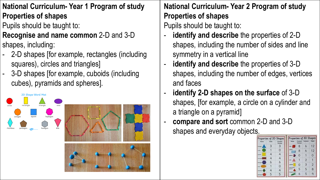- **National Curriculum- Year 1 Program of study Properties of shapes**
- Pupils should be taught to:

#### **Recognise and name common** 2-D and 3-D shapes, including:

- 2-D shapes [for example, rectangles (including squares), circles and triangles]
- 3-D shapes [for example, cuboids (including cubes), pyramids and spheres].



### **National Curriculum- Year 2 Program of study Properties of shapes**

- identify and describe the properties of 2-D shapes, including the number of sides and line symmetry in a vertical line
- **identify and describe** the properties of 3-D shapes, including the number of edges, vertices and faces
- **identify 2-D shapes on the surface** of 3-D shapes, [for example, a circle on a cylinder and a triangle on a pyramid]
- **compare and sort** common 2-D and 3-D shapes and everyday objects.

|                |       | Properties of 2D Shapes | Properties of 3D Shapes         |                      |          |                |
|----------------|-------|-------------------------|---------------------------------|----------------------|----------|----------------|
| Name           | Sides | Converti<br>Vertices    | Norse                           | Corners/<br>Vertices | Surfoces | Edges          |
| triangle       | З     | 3                       |                                 | 8                    | 6        | 12             |
| circle         |       | 0                       | <b>Juliette</b>                 | 8                    | Ь        | 12             |
| square         |       | 4                       | sphere III                      | 0                    |          | Ω              |
| rectangle      |       |                         | sana                            |                      | 2        |                |
| <b>Nexagon</b> | 6     | 6                       |                                 |                      | 3        |                |
| <b>PAGE</b>    |       | 0                       | culinder<br><b>SEARCH BASES</b> | Ω                    |          | $\overline{2}$ |
| rhambus        |       | 4                       | NAM                             | 5                    | 5        | 8              |
| pentagon       | 5     | 5                       | <b>STANDI</b>                   | ь                    | ь        | Q              |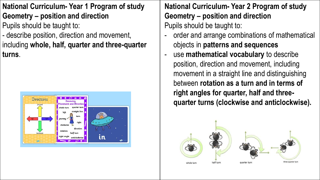#### **National Curriculum- Year 1 Program of study Geometry – position and direction** Pupils should be taught to:

- describe position, direction and movement, including **whole, half, quarter and three-quarter turns**.



**National Curriculum- Year 2 Program of study Geometry – position and direction** Pupils should be taught to:

- order and arrange combinations of mathematical objects in **patterns and sequences**
- use **mathematical vocabulary** to describe position, direction and movement, including movement in a straight line and distinguishing between **rotation as a turn and in terms of right angles for quarter, half and threequarter turns (clockwise and anticlockwise).**